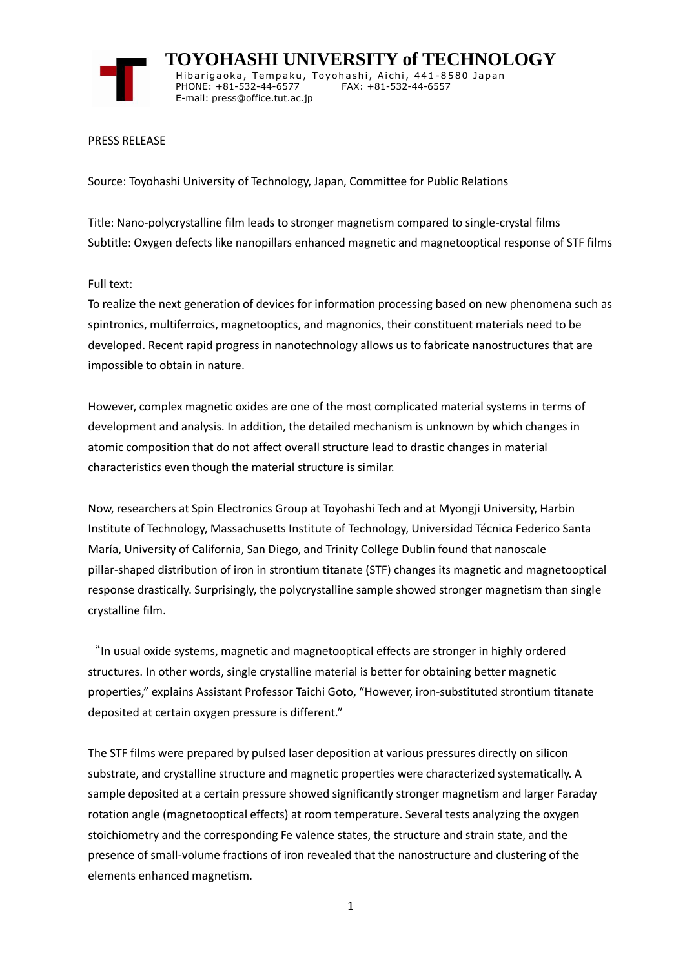

 **TOYOHASHI UNIVERSITY of TECHNOLOGY** Hibarigaoka, Tempaku, Toyohashi, Aichi, 441-8580 Japan PHONE: +81-532-44-6577 FAX: +81-532-44-6557 E-mail: press@office.tut.ac.jp

#### PRESS RELEASE

Source: Toyohashi University of Technology, Japan, Committee for Public Relations

Title: Nano-polycrystalline film leads to stronger magnetism compared to single-crystal films Subtitle: Oxygen defects like nanopillars enhanced magnetic and magnetooptical response of STF films

### Full text:

To realize the next generation of devices for information processing based on new phenomena such as spintronics, multiferroics, magnetooptics, and magnonics, their constituent materials need to be developed. Recent rapid progress in nanotechnology allows us to fabricate nanostructures that are impossible to obtain in nature.

However, complex magnetic oxides are one of the most complicated material systems in terms of development and analysis. In addition, the detailed mechanism is unknown by which changes in atomic composition that do not affect overall structure lead to drastic changes in material characteristics even though the material structure is similar.

Now, researchers at Spin Electronics Group at Toyohashi Tech and at Myongji University, Harbin Institute of Technology, Massachusetts Institute of Technology, Universidad Técnica Federico Santa María, University of California, San Diego, and Trinity College Dublin found that nanoscale pillar-shaped distribution of iron in strontium titanate (STF) changes its magnetic and magnetooptical response drastically. Surprisingly, the polycrystalline sample showed stronger magnetism than single crystalline film.

"In usual oxide systems, magnetic and magnetooptical effects are stronger in highly ordered structures. In other words, single crystalline material is better for obtaining better magnetic properties," explains Assistant Professor Taichi Goto, "However, iron-substituted strontium titanate deposited at certain oxygen pressure is different."

The STF films were prepared by pulsed laser deposition at various pressures directly on silicon substrate, and crystalline structure and magnetic properties were characterized systematically. A sample deposited at a certain pressure showed significantly stronger magnetism and larger Faraday rotation angle (magnetooptical effects) at room temperature. Several tests analyzing the oxygen stoichiometry and the corresponding Fe valence states, the structure and strain state, and the presence of small-volume fractions of iron revealed that the nanostructure and clustering of the elements enhanced magnetism.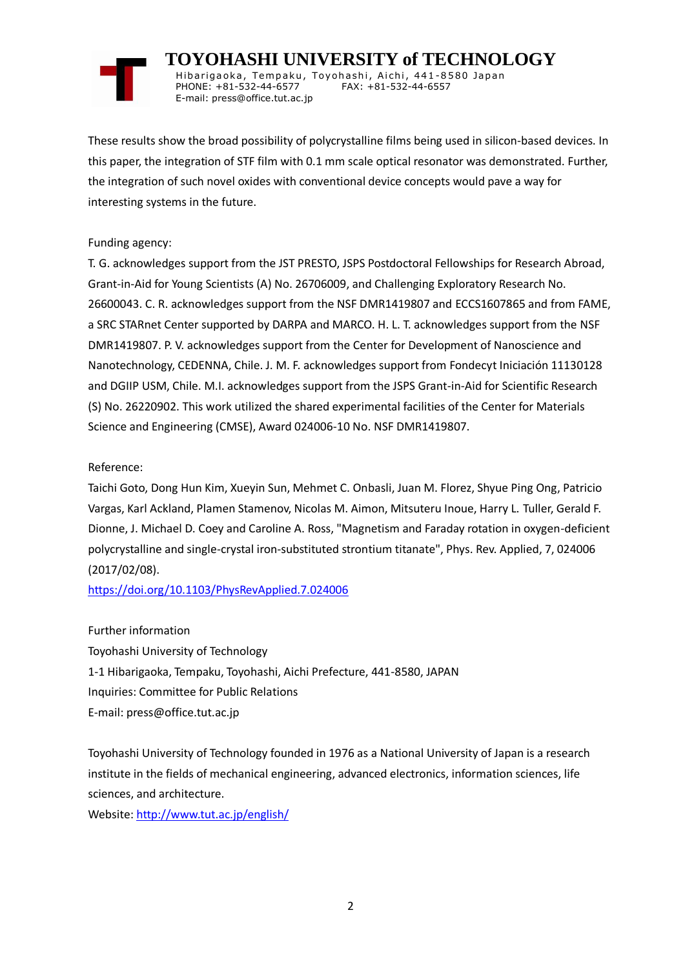# **TOYOHASHI UNIVERSITY of TECHNOLOGY**

Hibarigaoka, Tempaku, Toyohashi, Aichi, 441-8580 Japan PHONE: +81-532-44-6577 FAX: +81-532-44-6557 E-mail: press@office.tut.ac.jp

These results show the broad possibility of polycrystalline films being used in silicon-based devices. In this paper, the integration of STF film with 0.1 mm scale optical resonator was demonstrated. Further, the integration of such novel oxides with conventional device concepts would pave a way for interesting systems in the future.

### Funding agency:

T. G. acknowledges support from the JST PRESTO, JSPS Postdoctoral Fellowships for Research Abroad, Grant-in-Aid for Young Scientists (A) No. 26706009, and Challenging Exploratory Research No. 26600043. C. R. acknowledges support from the NSF DMR1419807 and ECCS1607865 and from FAME, a SRC STARnet Center supported by DARPA and MARCO. H. L. T. acknowledges support from the NSF DMR1419807. P. V. acknowledges support from the Center for Development of Nanoscience and Nanotechnology, CEDENNA, Chile. J. M. F. acknowledges support from Fondecyt Iniciación 11130128 and DGIIP USM, Chile. M.I. acknowledges support from the JSPS Grant-in-Aid for Scientific Research (S) No. 26220902. This work utilized the shared experimental facilities of the Center for Materials Science and Engineering (CMSE), Award 024006-10 No. NSF DMR1419807.

## Reference:

Taichi Goto, Dong Hun Kim, Xueyin Sun, Mehmet C. Onbasli, Juan M. Florez, Shyue Ping Ong, Patricio Vargas, Karl Ackland, Plamen Stamenov, Nicolas M. Aimon, Mitsuteru Inoue, Harry L. Tuller, Gerald F. Dionne, J. Michael D. Coey and Caroline A. Ross, "Magnetism and Faraday rotation in oxygen-deficient polycrystalline and single-crystal iron-substituted strontium titanate", Phys. Rev. Applied, 7, 024006 (2017/02/08).

<https://doi.org/10.1103/PhysRevApplied.7.024006>

Further information Toyohashi University of Technology 1-1 Hibarigaoka, Tempaku, Toyohashi, Aichi Prefecture, 441-8580, JAPAN Inquiries: Committee for Public Relations E-mail: press@office.tut.ac.jp

Toyohashi University of Technology founded in 1976 as a National University of Japan is a research institute in the fields of mechanical engineering, advanced electronics, information sciences, life sciences, and architecture.

Website[: http://www.tut.ac.jp/english/](https://www.tut.ac.jp/english/)